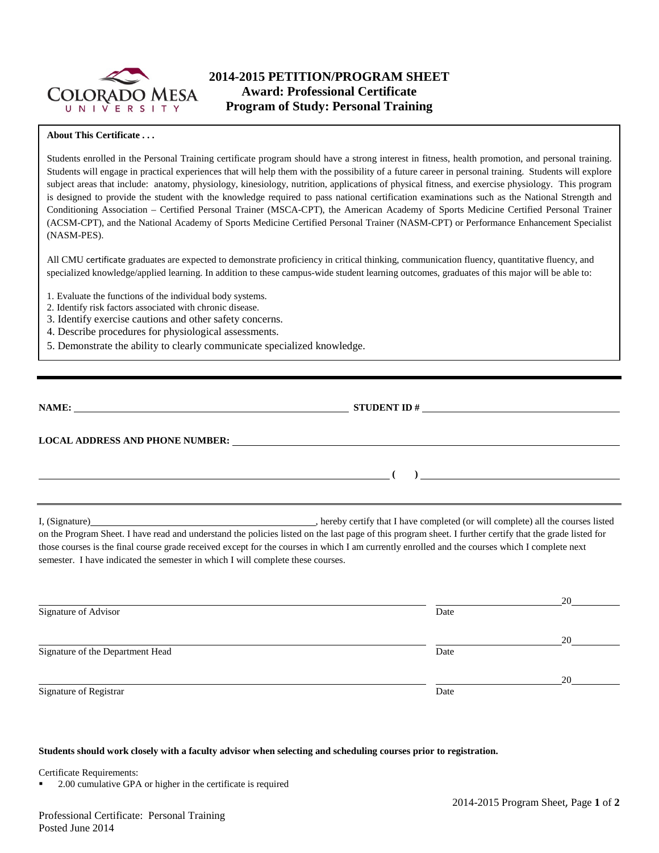

# **2014-2015 PETITION/PROGRAM SHEET Award: Professional Certificate Program of Study: Personal Training**

#### **About This Certificate . . .**

Students enrolled in the Personal Training certificate program should have a strong interest in fitness, health promotion, and personal training. Students will engage in practical experiences that will help them with the possibility of a future career in personal training. Students will explore subject areas that include: anatomy, physiology, kinesiology, nutrition, applications of physical fitness, and exercise physiology. This program is designed to provide the student with the knowledge required to pass national certification examinations such as the National Strength and Conditioning Association – Certified Personal Trainer (MSCA-CPT), the American Academy of Sports Medicine Certified Personal Trainer (ACSM-CPT), and the National Academy of Sports Medicine Certified Personal Trainer (NASM-CPT) or Performance Enhancement Specialist (NASM-PES).

All CMU certificate graduates are expected to demonstrate proficiency in critical thinking, communication fluency, quantitative fluency, and specialized knowledge/applied learning. In addition to these campus-wide student learning outcomes, graduates of this major will be able to:

- 1. Evaluate the functions of the individual body systems.
- 2. Identify risk factors associated with chronic disease.
- 3. Identify exercise cautions and other safety concerns.
- 4. Describe procedures for physiological assessments.
- 5. Demonstrate the ability to clearly communicate specialized knowledge.

| $\overline{\phantom{a}}$ and $\overline{\phantom{a}}$ and $\overline{\phantom{a}}$ and $\overline{\phantom{a}}$ and $\overline{\phantom{a}}$ and $\overline{\phantom{a}}$ and $\overline{\phantom{a}}$ |                                                                                                                                                                                                                                                                                                            |
|--------------------------------------------------------------------------------------------------------------------------------------------------------------------------------------------------------|------------------------------------------------------------------------------------------------------------------------------------------------------------------------------------------------------------------------------------------------------------------------------------------------------------|
| semester. I have indicated the semester in which I will complete these courses.                                                                                                                        | on the Program Sheet. I have read and understand the policies listed on the last page of this program sheet. I further certify that the grade listed for<br>those courses is the final course grade received except for the courses in which I am currently enrolled and the courses which I complete next |
|                                                                                                                                                                                                        | 20                                                                                                                                                                                                                                                                                                         |

| Signature of Advisor             | Date |    |  |  |
|----------------------------------|------|----|--|--|
|                                  |      | 20 |  |  |
| Signature of the Department Head | Date |    |  |  |
|                                  |      | 20 |  |  |
| Signature of Registrar           | Date |    |  |  |

#### **Students should work closely with a faculty advisor when selecting and scheduling courses prior to registration.**

Certificate Requirements:

2.00 cumulative GPA or higher in the certificate is required